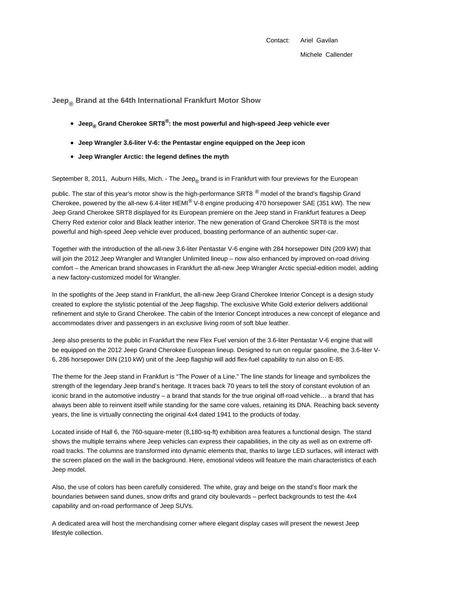Contact: Ariel Gavilan

Michele Callender

**Jeep® Brand at the 64th International Frankfurt Motor Show**

- **Jeep® Grand Cherokee SRT8®: the most powerful and high-speed Jeep vehicle ever**
- **Jeep Wrangler 3.6-liter V-6: the Pentastar engine equipped on the Jeep icon**
- **Jeep Wrangler Arctic: the legend defines the myth**

September 8, 2011, Auburn Hills, Mich. - The Jeep<sub>®</sub> brand is in Frankfurt with four previews for the European

public. The star of this year's motor show is the high-performance SRT8 <sup>®</sup> model of the brand's flagship Grand Cherokee, powered by the all-new 6.4-liter HEMI® V-8 engine producing 470 horsepower SAE (351 kW). The new Jeep Grand Cherokee SRT8 displayed for its European premiere on the Jeep stand in Frankfurt features a Deep Cherry Red exterior color and Black leather interior. The new generation of Grand Cherokee SRT8 is the most powerful and high-speed Jeep vehicle ever produced, boasting performance of an authentic super-car.

Together with the introduction of the all-new 3.6-liter Pentastar V-6 engine with 284 horsepower DIN (209 kW) that will join the 2012 Jeep Wrangler and Wrangler Unlimited lineup – now also enhanced by improved on-road driving comfort – the American brand showcases in Frankfurt the all-new Jeep Wrangler Arctic special-edition model, adding a new factory-customized model for Wrangler.

In the spotlights of the Jeep stand in Frankfurt, the all-new Jeep Grand Cherokee Interior Concept is a design study created to explore the stylistic potential of the Jeep flagship. The exclusive White Gold exterior delivers additional refinement and style to Grand Cherokee. The cabin of the Interior Concept introduces a new concept of elegance and accommodates driver and passengers in an exclusive living room of soft blue leather.

Jeep also presents to the public in Frankfurt the new Flex Fuel version of the 3.6-liter Pentastar V-6 engine that will be equipped on the 2012 Jeep Grand Cherokee European lineup. Designed to run on regular gasoline, the 3.6-liter V-6, 286 horsepower DIN (210 kW) unit of the Jeep flagship will add flex-fuel capability to run also on E-85.

The theme for the Jeep stand in Frankfurt is "The Power of a Line." The line stands for lineage and symbolizes the strength of the legendary Jeep brand's heritage. It traces back 70 years to tell the story of constant evolution of an iconic brand in the automotive industry – a brand that stands for the true original off-road vehicle… a brand that has always been able to reinvent itself while standing for the same core values, retaining its DNA. Reaching back seventy years, the line is virtually connecting the original 4x4 dated 1941 to the products of today.

Located inside of Hall 6, the 760-square-meter (8,180-sq-ft) exhibition area features a functional design. The stand shows the multiple terrains where Jeep vehicles can express their capabilities, in the city as well as on extreme offroad tracks. The columns are transformed into dynamic elements that, thanks to large LED surfaces, will interact with the screen placed on the wall in the background. Here, emotional videos will feature the main characteristics of each Jeep model.

Also, the use of colors has been carefully considered. The white, gray and beige on the stand's floor mark the boundaries between sand dunes, snow drifts and grand city boulevards – perfect backgrounds to test the 4x4 capability and on-road performance of Jeep SUVs.

A dedicated area will host the merchandising corner where elegant display cases will present the newest Jeep lifestyle collection.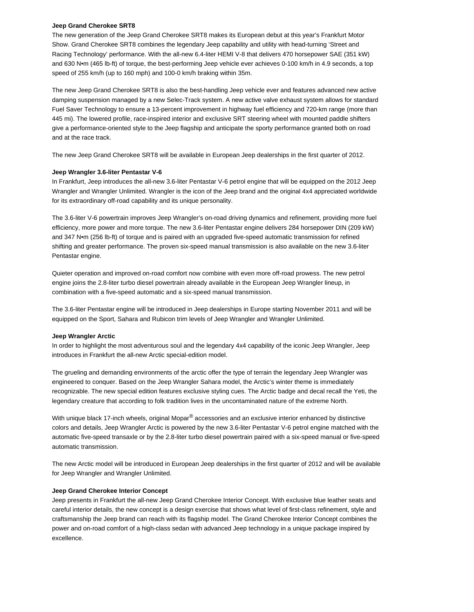## **Jeep Grand Cherokee SRT8**

The new generation of the Jeep Grand Cherokee SRT8 makes its European debut at this year's Frankfurt Motor Show. Grand Cherokee SRT8 combines the legendary Jeep capability and utility with head-turning 'Street and Racing Technology' performance. With the all-new 6.4-liter HEMI V-8 that delivers 470 horsepower SAE (351 kW) and 630 N•m (465 lb-ft) of torque, the best-performing Jeep vehicle ever achieves 0-100 km/h in 4.9 seconds, a top speed of 255 km/h (up to 160 mph) and 100-0 km/h braking within 35m.

The new Jeep Grand Cherokee SRT8 is also the best-handling Jeep vehicle ever and features advanced new active damping suspension managed by a new Selec-Track system. A new active valve exhaust system allows for standard Fuel Saver Technology to ensure a 13-percent improvement in highway fuel efficiency and 720-km range (more than 445 mi). The lowered profile, race-inspired interior and exclusive SRT steering wheel with mounted paddle shifters give a performance-oriented style to the Jeep flagship and anticipate the sporty performance granted both on road and at the race track.

The new Jeep Grand Cherokee SRT8 will be available in European Jeep dealerships in the first quarter of 2012.

## **Jeep Wrangler 3.6-liter Pentastar V-6**

In Frankfurt, Jeep introduces the all-new 3.6-liter Pentastar V-6 petrol engine that will be equipped on the 2012 Jeep Wrangler and Wrangler Unlimited. Wrangler is the icon of the Jeep brand and the original 4x4 appreciated worldwide for its extraordinary off-road capability and its unique personality.

The 3.6-liter V-6 powertrain improves Jeep Wrangler's on-road driving dynamics and refinement, providing more fuel efficiency, more power and more torque. The new 3.6-liter Pentastar engine delivers 284 horsepower DIN (209 kW) and 347 N•m (256 lb-ft) of torque and is paired with an upgraded five-speed automatic transmission for refined shifting and greater performance. The proven six-speed manual transmission is also available on the new 3.6-liter Pentastar engine.

Quieter operation and improved on-road comfort now combine with even more off-road prowess. The new petrol engine joins the 2.8-liter turbo diesel powertrain already available in the European Jeep Wrangler lineup, in combination with a five-speed automatic and a six-speed manual transmission.

The 3.6-liter Pentastar engine will be introduced in Jeep dealerships in Europe starting November 2011 and will be equipped on the Sport, Sahara and Rubicon trim levels of Jeep Wrangler and Wrangler Unlimited.

## **Jeep Wrangler Arctic**

In order to highlight the most adventurous soul and the legendary 4x4 capability of the iconic Jeep Wrangler, Jeep introduces in Frankfurt the all-new Arctic special-edition model.

The grueling and demanding environments of the arctic offer the type of terrain the legendary Jeep Wrangler was engineered to conquer. Based on the Jeep Wrangler Sahara model, the Arctic's winter theme is immediately recognizable. The new special edition features exclusive styling cues. The Arctic badge and decal recall the Yeti, the legendary creature that according to folk tradition lives in the uncontaminated nature of the extreme North.

With unique black 17-inch wheels, original Mopar<sup>®</sup> accessories and an exclusive interior enhanced by distinctive colors and details, Jeep Wrangler Arctic is powered by the new 3.6-liter Pentastar V-6 petrol engine matched with the automatic five-speed transaxle or by the 2.8-liter turbo diesel powertrain paired with a six-speed manual or five-speed automatic transmission.

The new Arctic model will be introduced in European Jeep dealerships in the first quarter of 2012 and will be available for Jeep Wrangler and Wrangler Unlimited.

#### **Jeep Grand Cherokee Interior Concept**

Jeep presents in Frankfurt the all-new Jeep Grand Cherokee Interior Concept. With exclusive blue leather seats and careful interior details, the new concept is a design exercise that shows what level of first-class refinement, style and craftsmanship the Jeep brand can reach with its flagship model. The Grand Cherokee Interior Concept combines the power and on-road comfort of a high-class sedan with advanced Jeep technology in a unique package inspired by excellence.